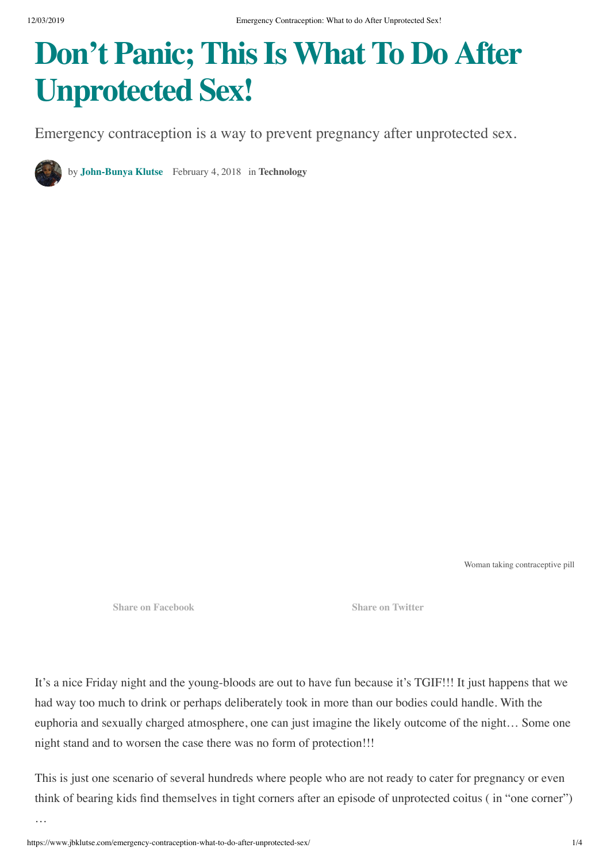# **Don't Panic; ThisIs What To Do After Unprotected Sex!**

Emergency contraception is a way to prevent pregnancy after unprotected sex.

by **John-Bunya Klutse** February 4, 2018 in **Technology**

Woman taking contraceptive pill

**Share on Facebook Share on Twitter**

It's a nice Friday night and the young-bloods are out to have fun because it's TGIF!!! It just happens that we had way too much to drink or perhaps deliberately took in more than our bodies could handle. With the euphoria and sexually charged atmosphere, one can just imagine the likely outcome of the night… Some one night stand and to worsen the case there was no form of protection!!!

This is just one scenario of several hundreds where people who are not ready to cater for pregnancy or even think of bearing kids find themselves in tight corners after an episode of unprotected coitus ( in "one corner")

…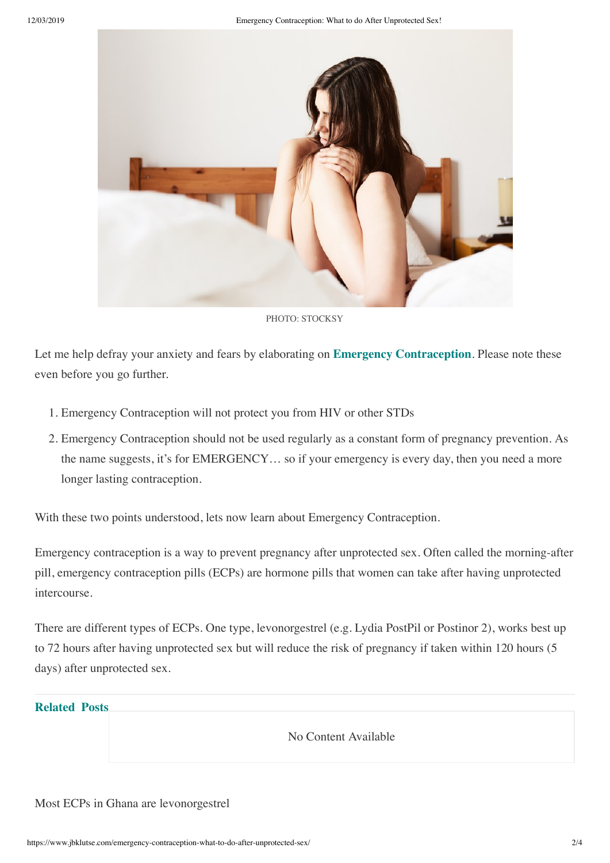

PHOTO: STOCKSY

Let me help defray your anxiety and fears by elaborating on **Emergency Contraception**. Please note these even before you go further.

- 1. Emergency Contraception will not protect you from HIV or other STDs
- 2. Emergency Contraception should not be used regularly as a constant form of pregnancy prevention. As the name suggests, it's for EMERGENCY… so if your emergency is every day, then you need a more longer lasting contraception.

With these two points understood, lets now learn about Emergency Contraception.

Emergency contraception is a way to prevent pregnancy after unprotected sex. Often called the morning-after pill, emergency contraception pills (ECPs) are hormone pills that women can take after having unprotected intercourse.

There are different types of ECPs. One type, levonorgestrel (e.g. Lydia PostPil or Postinor 2), works best up to 72 hours after having unprotected sex but will reduce the risk of pregnancy if taken within 120 hours (5 days) after unprotected sex.

# **Related Posts**

No Content Available

#### Most ECPs in Ghana are levonorgestrel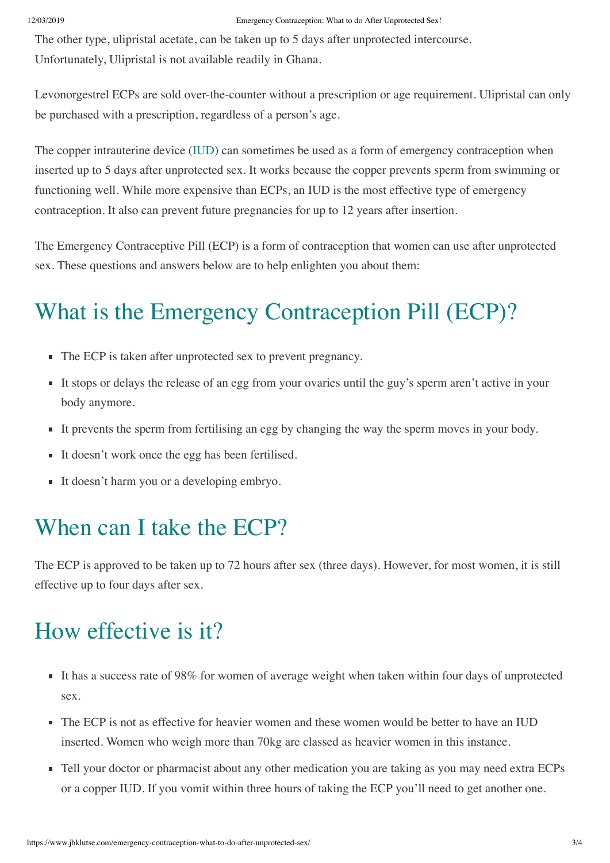The other type, ulipristal acetate, can be taken up to 5 days after unprotected intercourse. Unfortunately, Ulipristal is not available readily in Ghana.

Levonorgestrel ECPs are sold over-the-counter without a prescription or age requirement. Ulipristal can only be purchased with a prescription, regardless of a person's age.

The copper intrauterine device (IUD) can sometimes be used as a form of emergency contraception when inserted up to 5 days after unprotected sex. It works because the copper prevents sperm from swimming or functioning well. While more expensive than ECPs, an IUD is the most effective type of emergency contraception. It also can prevent future pregnancies for up to 12 years after insertion.

The Emergency Contraceptive Pill (ECP) is a form of contraception that women can use after unprotected sex. These questions and answers below are to help enlighten you about them:

# What is the Emergency Contraception Pill (ECP)?

- The ECP is taken after unprotected sex to prevent pregnancy.
- It stops or delays the release of an egg from your ovaries until the guy's sperm aren't active in your body anymore.
- It prevents the sperm from fertilising an egg by changing the way the sperm moves in your body.
- It doesn't work once the egg has been fertilised.
- It doesn't harm you or a developing embryo.

#### When can I take the ECP?

The ECP is approved to be taken up to 72 hours after sex (three days). However, for most women, it is still effective up to four days after sex.

### How effective is it?

- It has a success rate of 98% for women of average weight when taken within four days of unprotected sex.
- The ECP is not as effective for heavier women and these women would be better to have an IUD inserted. Women who weigh more than 70kg are classed as heavier women in this instance.
- Tell your doctor or pharmacist about any other medication you are taking as you may need extra ECPs or a copper IUD. If you vomit within three hours of taking the ECP you'll need to get another one.